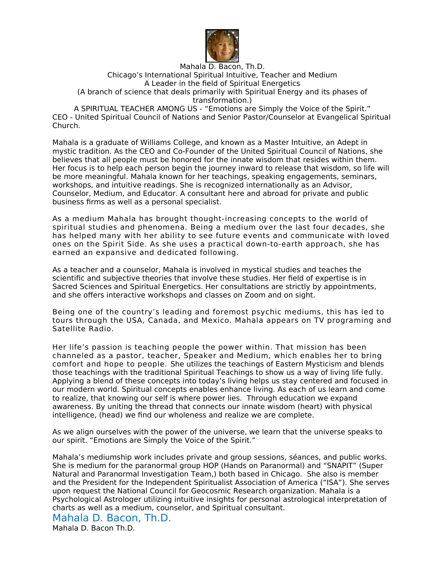

## Mahala D. Bacon, Th.D. Chicago's International Spiritual Intuitive, Teacher and Medium A Leader in the field of Spiritual Energetics (A branch of science that deals primarily with Spiritual Energy and its phases of transformation.)

A SPIRITUAL TEACHER AMONG US - "Emotions are Simply the Voice of the Spirit." CEO - United Spiritual Council of Nations and Senior Pastor/Counselor at Evangelical Spiritual Church.

Mahala is a graduate of Williams College, and known as a Master Intuitive, an Adept in mystic tradition. As the CEO and Co-Founder of the United Spiritual Council of Nations, she believes that all people must be honored for the innate wisdom that resides within them. Her focus is to help each person begin the journey inward to release that wisdom, so life will be more meaningful. Mahala known for her teachings, speaking engagements, seminars, workshops, and intuitive readings. She is recognized internationally as an Advisor, Counselor, Medium, and Educator. A consultant here and abroad for private and public business firms as well as a personal specialist.

As a medium Mahala has brought thought-increasing concepts to the world of spiritual studies and phenomena. Being a medium over the last four decades, she has helped many with her ability to see future events and communicate with loved ones on the Spirit Side. As she uses a practical down-to-earth approach, she has earned an expansive and dedicated following.

As a teacher and a counselor, Mahala is involved in mystical studies and teaches the scientific and subjective theories that involve these studies. Her field of expertise is in Sacred Sciences and Spiritual Energetics. Her consultations are strictly by appointments, and she offers interactive workshops and classes on Zoom and on sight.

Being one of the country's leading and foremost psychic mediums, this has led to tours through the USA, Canada, and Mexico. Mahala appears on TV programing and Satellite Radio.

Her life's passion is teaching people the power within. That mission has been channeled as a pastor, teacher, Speaker and Medium, which enables her to bring comfort and hope to people. She utilizes the teachings of Eastern Mysticism and blends those teachings with the traditional Spiritual Teachings to show us a way of living life fully. Applying a blend of these concepts into today's living helps us stay centered and focused in our modern world. Spiritual concepts enables enhance living. As each of us learn and come to realize, that knowing our self is where power lies. Through education we expand awareness. By uniting the thread that connects our innate wisdom (heart) with physical intelligence, (head) we find our wholeness and realize we are complete.

As we align ourselves with the power of the universe, we learn that the universe speaks to our spirit. "Emotions are Simply the Voice of the Spirit."

Mahala's mediumship work includes private and group sessions, séances, and public works. She is medium for the paranormal group HOP (Hands on Paranormal) and "SNAPIT" (Super Natural and Paranormal Investigation Team,) both based in Chicago. She also is member and the President for the Independent Spiritualist Association of America ("ISA"). She serves upon request the National Council for Geocosmic Research organization. Mahala is a Psychological Astrologer utilizing intuitive insights for personal astrological interpretation of charts as well as a medium, counselor, and Spiritual consultant.

Mahala D. Bacon, Th.D.

Mahala D. Bacon Th.D.